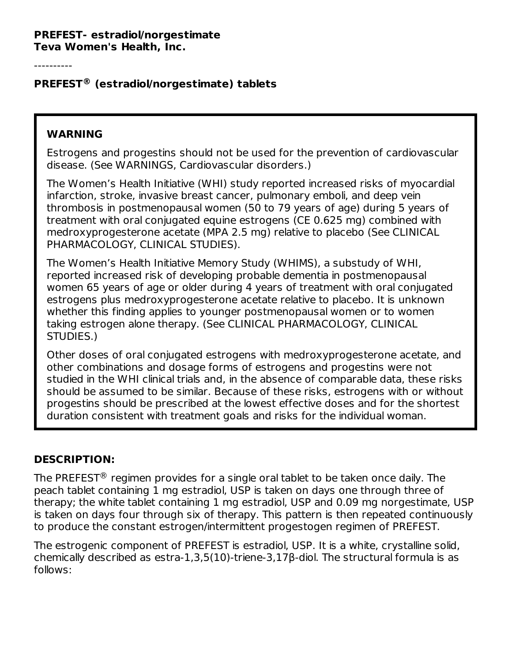#### **PREFEST- estradiol/norgestimate Teva Women's Health, Inc.**

----------

#### **PREFEST (estradiol/norgestimate) tablets ®**

#### **WARNING**

Estrogens and progestins should not be used for the prevention of cardiovascular disease. (See WARNINGS, Cardiovascular disorders.)

The Women's Health Initiative (WHI) study reported increased risks of myocardial infarction, stroke, invasive breast cancer, pulmonary emboli, and deep vein thrombosis in postmenopausal women (50 to 79 years of age) during 5 years of treatment with oral conjugated equine estrogens (CE 0.625 mg) combined with medroxyprogesterone acetate (MPA 2.5 mg) relative to placebo (See CLINICAL PHARMACOLOGY, CLINICAL STUDIES).

The Women's Health Initiative Memory Study (WHIMS), a substudy of WHI, reported increased risk of developing probable dementia in postmenopausal women 65 years of age or older during 4 years of treatment with oral conjugated estrogens plus medroxyprogesterone acetate relative to placebo. It is unknown whether this finding applies to younger postmenopausal women or to women taking estrogen alone therapy. (See CLINICAL PHARMACOLOGY, CLINICAL STUDIES.)

Other doses of oral conjugated estrogens with medroxyprogesterone acetate, and other combinations and dosage forms of estrogens and progestins were not studied in the WHI clinical trials and, in the absence of comparable data, these risks should be assumed to be similar. Because of these risks, estrogens with or without progestins should be prescribed at the lowest effective doses and for the shortest duration consistent with treatment goals and risks for the individual woman.

#### **DESCRIPTION:**

The <code>PREFEST $^\circledR$ </code> regimen provides for a single oral tablet to be taken once daily. The peach tablet containing 1 mg estradiol, USP is taken on days one through three of therapy; the white tablet containing 1 mg estradiol, USP and 0.09 mg norgestimate, USP is taken on days four through six of therapy. This pattern is then repeated continuously to produce the constant estrogen/intermittent progestogen regimen of PREFEST.

The estrogenic component of PREFEST is estradiol, USP. It is a white, crystalline solid, chemically described as estra-1,3,5(10)-triene-3,17β-diol. The structural formula is as follows: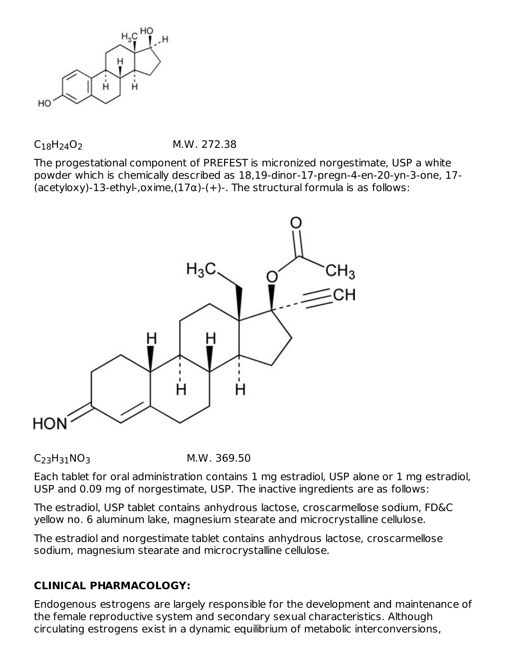

#### $C_{18}H_{24}O_2$

M.W. 272.38

The progestational component of PREFEST is micronized norgestimate, USP a white powder which is chemically described as 18,19-dinor-17-pregn-4-en-20-yn-3-one, 17- (acetyloxy)-13-ethyl-,oxime,(17 $\alpha$ )-(+)-. The structural formula is as follows:



 $C_{23}H_{31}NO_3$  M.W. 369.50

Each tablet for oral administration contains 1 mg estradiol, USP alone or 1 mg estradiol, USP and 0.09 mg of norgestimate, USP. The inactive ingredients are as follows:

The estradiol, USP tablet contains anhydrous lactose, croscarmellose sodium, FD&C yellow no. 6 aluminum lake, magnesium stearate and microcrystalline cellulose.

The estradiol and norgestimate tablet contains anhydrous lactose, croscarmellose sodium, magnesium stearate and microcrystalline cellulose.

#### **CLINICAL PHARMACOLOGY:**

Endogenous estrogens are largely responsible for the development and maintenance of the female reproductive system and secondary sexual characteristics. Although circulating estrogens exist in a dynamic equilibrium of metabolic interconversions,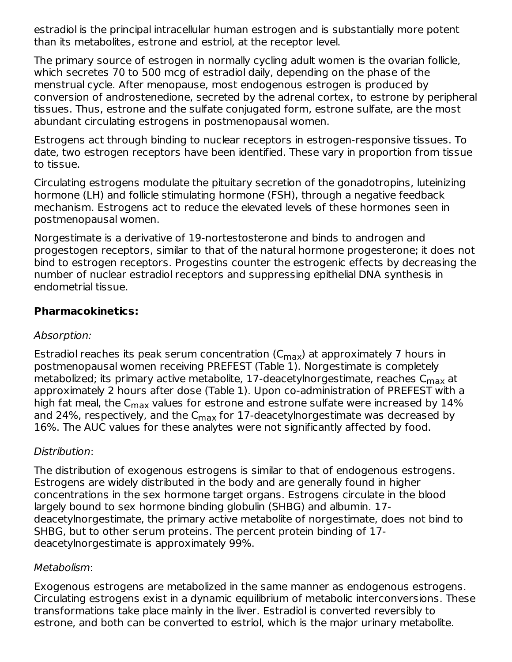estradiol is the principal intracellular human estrogen and is substantially more potent than its metabolites, estrone and estriol, at the receptor level.

The primary source of estrogen in normally cycling adult women is the ovarian follicle, which secretes 70 to 500 mcg of estradiol daily, depending on the phase of the menstrual cycle. After menopause, most endogenous estrogen is produced by conversion of androstenedione, secreted by the adrenal cortex, to estrone by peripheral tissues. Thus, estrone and the sulfate conjugated form, estrone sulfate, are the most abundant circulating estrogens in postmenopausal women.

Estrogens act through binding to nuclear receptors in estrogen-responsive tissues. To date, two estrogen receptors have been identified. These vary in proportion from tissue to tissue.

Circulating estrogens modulate the pituitary secretion of the gonadotropins, luteinizing hormone (LH) and follicle stimulating hormone (FSH), through a negative feedback mechanism. Estrogens act to reduce the elevated levels of these hormones seen in postmenopausal women.

Norgestimate is a derivative of 19-nortestosterone and binds to androgen and progestogen receptors, similar to that of the natural hormone progesterone; it does not bind to estrogen receptors. Progestins counter the estrogenic effects by decreasing the number of nuclear estradiol receptors and suppressing epithelial DNA synthesis in endometrial tissue.

#### **Pharmacokinetics:**

#### Absorption:

Estradiol reaches its peak serum concentration (C $_{\sf max}$ ) at approximately 7 hours in postmenopausal women receiving PREFEST (Table 1). Norgestimate is completely metabolized; its primary active metabolite, 17-deacetylnorgestimate, reaches C<sub>max</sub> at approximately 2 hours after dose (Table 1). Upon co-administration of PREFEST with a high fat meal, the C $_{\sf max}$  values for estrone and estrone sulfate were increased by  $14\%$ and 24%, respectively, and the C $_{\sf max}$  for 17-deacetylnorgestimate was decreased by 16%. The AUC values for these analytes were not significantly affected by food.

#### Distribution:

The distribution of exogenous estrogens is similar to that of endogenous estrogens. Estrogens are widely distributed in the body and are generally found in higher concentrations in the sex hormone target organs. Estrogens circulate in the blood largely bound to sex hormone binding globulin (SHBG) and albumin. 17 deacetylnorgestimate, the primary active metabolite of norgestimate, does not bind to SHBG, but to other serum proteins. The percent protein binding of 17 deacetylnorgestimate is approximately 99%.

#### Metabolism:

Exogenous estrogens are metabolized in the same manner as endogenous estrogens. Circulating estrogens exist in a dynamic equilibrium of metabolic interconversions. These transformations take place mainly in the liver. Estradiol is converted reversibly to estrone, and both can be converted to estriol, which is the major urinary metabolite.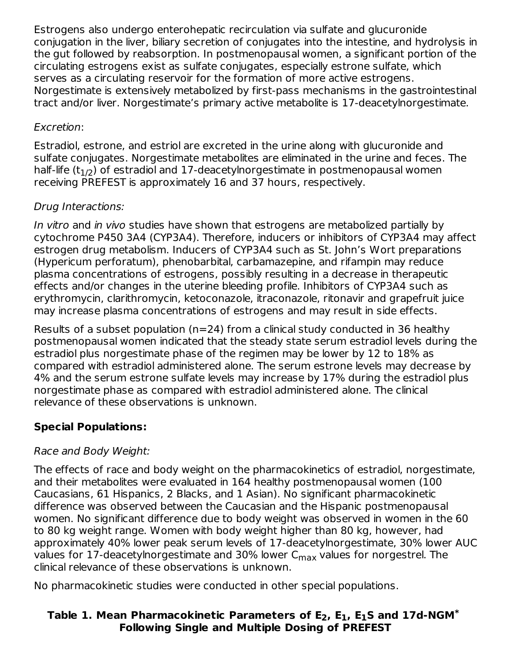Estrogens also undergo enterohepatic recirculation via sulfate and glucuronide conjugation in the liver, biliary secretion of conjugates into the intestine, and hydrolysis in the gut followed by reabsorption. In postmenopausal women, a significant portion of the circulating estrogens exist as sulfate conjugates, especially estrone sulfate, which serves as a circulating reservoir for the formation of more active estrogens. Norgestimate is extensively metabolized by first-pass mechanisms in the gastrointestinal tract and/or liver. Norgestimate's primary active metabolite is 17-deacetylnorgestimate.

#### Excretion:

Estradiol, estrone, and estriol are excreted in the urine along with glucuronide and sulfate conjugates. Norgestimate metabolites are eliminated in the urine and feces. The half-life (t $_{\rm 1/2}$ ) of estradiol and 17-deacetylnorgestimate in postmenopausal women receiving PREFEST is approximately 16 and 37 hours, respectively.

#### Drug Interactions:

In vitro and in vivo studies have shown that estrogens are metabolized partially by cytochrome P450 3A4 (CYP3A4). Therefore, inducers or inhibitors of CYP3A4 may affect estrogen drug metabolism. Inducers of CYP3A4 such as St. John's Wort preparations (Hypericum perforatum), phenobarbital, carbamazepine, and rifampin may reduce plasma concentrations of estrogens, possibly resulting in a decrease in therapeutic effects and/or changes in the uterine bleeding profile. Inhibitors of CYP3A4 such as erythromycin, clarithromycin, ketoconazole, itraconazole, ritonavir and grapefruit juice may increase plasma concentrations of estrogens and may result in side effects.

Results of a subset population (n=24) from a clinical study conducted in 36 healthy postmenopausal women indicated that the steady state serum estradiol levels during the estradiol plus norgestimate phase of the regimen may be lower by 12 to 18% as compared with estradiol administered alone. The serum estrone levels may decrease by 4% and the serum estrone sulfate levels may increase by 17% during the estradiol plus norgestimate phase as compared with estradiol administered alone. The clinical relevance of these observations is unknown.

#### **Special Populations:**

#### Race and Body Weight:

The effects of race and body weight on the pharmacokinetics of estradiol, norgestimate, and their metabolites were evaluated in 164 healthy postmenopausal women (100 Caucasians, 61 Hispanics, 2 Blacks, and 1 Asian). No significant pharmacokinetic difference was observed between the Caucasian and the Hispanic postmenopausal women. No significant difference due to body weight was observed in women in the 60 to 80 kg weight range. Women with body weight higher than 80 kg, however, had approximately 40% lower peak serum levels of 17-deacetylnorgestimate, 30% lower AUC values for 17-deacetylnorgestimate and 30% lower C<sub>max</sub> values for norgestrel. The clinical relevance of these observations is unknown.

No pharmacokinetic studies were conducted in other special populations.

#### **Table 1. Mean Pharmacokinetic Parameters of E , E , E S and 17d-NGM 2 1 1 \*Following Single and Multiple Dosing of PREFEST**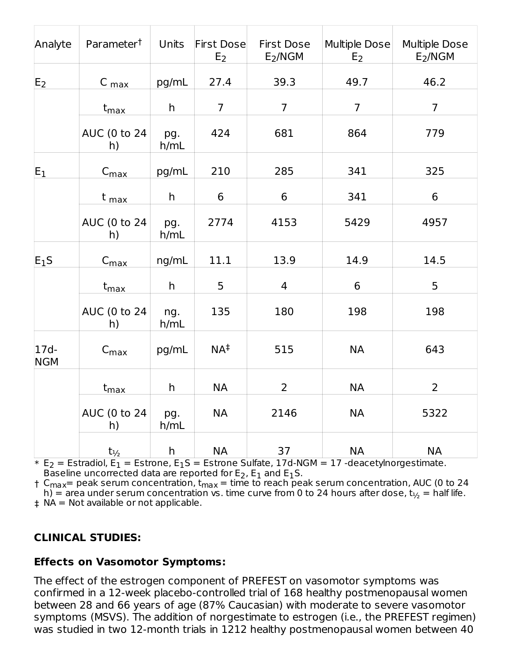| Analyte              | Parameter <sup>†</sup> | Units       | <b>First Dose</b><br>E <sub>2</sub> | <b>First Dose</b><br>E <sub>2</sub> /NGM | <b>Multiple Dose</b><br>E <sub>2</sub> | <b>Multiple Dose</b><br>E <sub>2</sub> /NGM |
|----------------------|------------------------|-------------|-------------------------------------|------------------------------------------|----------------------------------------|---------------------------------------------|
| E <sub>2</sub>       | $C_{max}$              | pg/mL       | 27.4                                | 39.3                                     | 49.7                                   | 46.2                                        |
|                      | $t_{\sf max}$          | h           | $\overline{7}$                      | $\overline{7}$                           | $\overline{7}$                         | $\overline{7}$                              |
|                      | AUC (0 to 24<br>h)     | pg.<br>h/mL | 424                                 | 681                                      | 864                                    | 779                                         |
| $E_1$                | $C_{\text{max}}$       | pg/mL       | 210                                 | 285                                      | 341                                    | 325                                         |
|                      | $t_{\text{max}}$       | h           | $6\phantom{1}6$                     | 6                                        | 341                                    | 6                                           |
|                      | AUC (0 to 24<br>h)     | pg.<br>h/mL | 2774                                | 4153                                     | 5429                                   | 4957                                        |
| $E_1S$               | $C_{\text{max}}$       | ng/mL       | 11.1                                | 13.9                                     | 14.9                                   | 14.5                                        |
|                      | $t_{\text{max}}$       | h           | 5                                   | $\overline{4}$                           | 6                                      | 5                                           |
|                      | AUC (0 to 24<br>h)     | ng.<br>h/mL | 135                                 | 180                                      | 198                                    | 198                                         |
| $17d-$<br><b>NGM</b> | $C_{\text{max}}$       | pg/mL       | $NA^{\ddagger}$                     | 515                                      | <b>NA</b>                              | 643                                         |
|                      | $t_{\text{max}}$       | h           | <b>NA</b>                           | $\overline{2}$                           | <b>NA</b>                              | $\overline{2}$                              |
|                      | AUC (0 to 24<br>h)     | pg.<br>h/mL | <b>NA</b>                           | 2146                                     | <b>NA</b>                              | 5322                                        |
|                      | $t_{\frac{1}{2}}$      | h           | <b>NA</b>                           | 37                                       | <b>NA</b>                              | <b>NA</b>                                   |

 $*$  E<sub>2</sub> = Estradiol, E<sub>1</sub> = Estrone, E<sub>1</sub>S = Estrone Sulfate, 17d-NGM = 17 -deacetylnorgestimate. Baseline uncorrected data are reported for  $E_2$ ,  $E_1$  and  $E_1S$ .

† C<sub>max</sub>= peak serum concentration, t<sub>max</sub> = time to reach peak serum concentration, AUC (0 to 24

‡ NA = Not available or not applicable. h) = area under serum concentration vs. time curve from 0 to 24 hours after dose,  $t_{\frac{1}{2}}$  = half life.

#### **CLINICAL STUDIES:**

#### **Effects on Vasomotor Symptoms:**

The effect of the estrogen component of PREFEST on vasomotor symptoms was confirmed in a 12-week placebo-controlled trial of 168 healthy postmenopausal women between 28 and 66 years of age (87% Caucasian) with moderate to severe vasomotor symptoms (MSVS). The addition of norgestimate to estrogen (i.e., the PREFEST regimen) was studied in two 12-month trials in 1212 healthy postmenopausal women between 40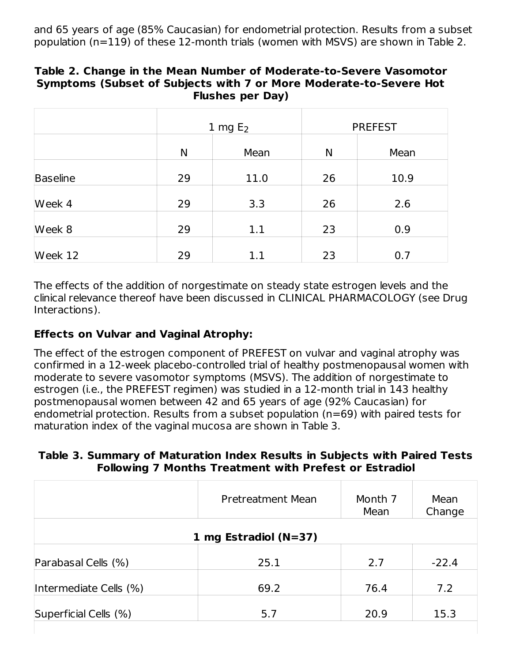and 65 years of age (85% Caucasian) for endometrial protection. Results from a subset population (n=119) of these 12-month trials (women with MSVS) are shown in Table 2.

|                 |    | 1 mg $E_2$ |    | <b>PREFEST</b> |  |
|-----------------|----|------------|----|----------------|--|
|                 | N  | Mean       | N  | Mean           |  |
| <b>Baseline</b> | 29 | 11.0       | 26 | 10.9           |  |
| Week 4          | 29 | 3.3        | 26 | 2.6            |  |
| Week 8          | 29 | 1.1        | 23 | 0.9            |  |
| Week 12         | 29 | $1.1\,$    | 23 | 0.7            |  |

#### **Table 2. Change in the Mean Number of Moderate-to-Severe Vasomotor Symptoms (Subset of Subjects with 7 or More Moderate-to-Severe Hot Flushes per Day)**

The effects of the addition of norgestimate on steady state estrogen levels and the clinical relevance thereof have been discussed in CLINICAL PHARMACOLOGY (see Drug Interactions).

#### **Effects on Vulvar and Vaginal Atrophy:**

The effect of the estrogen component of PREFEST on vulvar and vaginal atrophy was confirmed in a 12-week placebo-controlled trial of healthy postmenopausal women with moderate to severe vasomotor symptoms (MSVS). The addition of norgestimate to estrogen (i.e., the PREFEST regimen) was studied in a 12-month trial in 143 healthy postmenopausal women between 42 and 65 years of age (92% Caucasian) for endometrial protection. Results from a subset population (n=69) with paired tests for maturation index of the vaginal mucosa are shown in Table 3.

#### **Table 3. Summary of Maturation Index Results in Subjects with Paired Tests Following 7 Months Treatment with Prefest or Estradiol**

|                           | <b>Pretreatment Mean</b> | Month 7<br>Mean | Mean<br>Change |  |  |  |
|---------------------------|--------------------------|-----------------|----------------|--|--|--|
| 1 mg Estradiol ( $N=37$ ) |                          |                 |                |  |  |  |
| Parabasal Cells (%)       | 25.1                     | 2.7             | $-22.4$        |  |  |  |
| Intermediate Cells (%)    | 69.2                     | 76.4            | 7.2            |  |  |  |
| Superficial Cells (%)     | 5.7                      | 20.9            | 15.3           |  |  |  |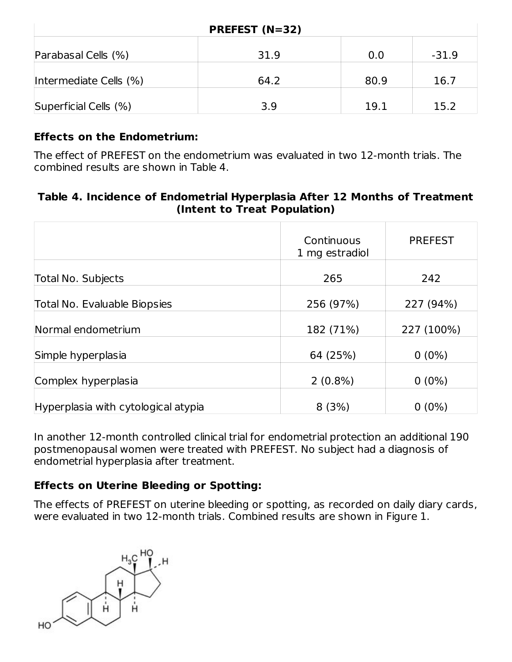| <b>PREFEST (N=32)</b>  |      |      |         |  |  |
|------------------------|------|------|---------|--|--|
| Parabasal Cells (%)    | 31.9 | 0.0  | $-31.9$ |  |  |
| Intermediate Cells (%) | 64.2 | 80.9 | 16.7    |  |  |
| Superficial Cells (%)  | 3.9  | 19.1 | 15.2    |  |  |

#### **Effects on the Endometrium:**

The effect of PREFEST on the endometrium was evaluated in two 12-month trials. The combined results are shown in Table 4.

#### **Table 4. Incidence of Endometrial Hyperplasia After 12 Months of Treatment (Intent to Treat Population)**

|                                     | Continuous<br>1 mg estradiol | <b>PREFEST</b> |
|-------------------------------------|------------------------------|----------------|
|                                     |                              |                |
| Total No. Subjects                  | 265                          | 242            |
|                                     |                              |                |
| Total No. Evaluable Biopsies        | 256 (97%)                    | 227 (94%)      |
|                                     |                              |                |
| Normal endometrium                  | 182 (71%)                    | 227 (100%)     |
|                                     |                              |                |
| Simple hyperplasia                  | 64 (25%)                     | $0(0\%)$       |
|                                     |                              |                |
| Complex hyperplasia                 | $2(0.8\%)$                   | $0(0\%)$       |
|                                     |                              |                |
| Hyperplasia with cytological atypia | 8(3%)                        | $0(0\%)$       |

In another 12-month controlled clinical trial for endometrial protection an additional 190 postmenopausal women were treated with PREFEST. No subject had a diagnosis of endometrial hyperplasia after treatment.

#### **Effects on Uterine Bleeding or Spotting:**

The effects of PREFEST on uterine bleeding or spotting, as recorded on daily diary cards, were evaluated in two 12-month trials. Combined results are shown in Figure 1.

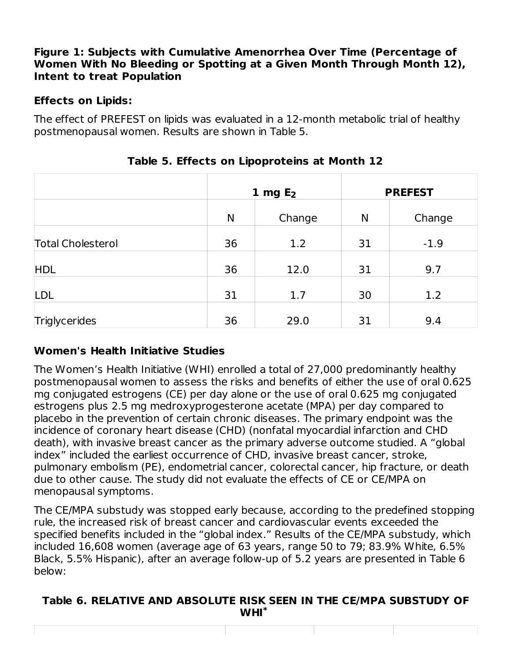#### **Figure 1: Subjects with Cumulative Amenorrhea Over Time (Percentage of Women With No Bleeding or Spotting at a Given Month Through Month 12), Intent to treat Population**

#### **Effects on Lipids:**

The effect of PREFEST on lipids was evaluated in a 12-month metabolic trial of healthy postmenopausal women. Results are shown in Table 5.

|                          |    | 1 mg $E_2$ |    | <b>PREFEST</b> |
|--------------------------|----|------------|----|----------------|
|                          | N  | Change     | N  | Change         |
| <b>Total Cholesterol</b> | 36 | 1.2        | 31 | $-1.9$         |
| <b>HDL</b>               | 36 | 12.0       | 31 | 9.7            |
| LDL                      | 31 | 1.7        | 30 | 1.2            |
| Triglycerides            | 36 | 29.0       | 31 | 9.4            |

**Table 5. Effects on Lipoproteins at Month 12**

#### **Women's Health Initiative Studies**

The Women's Health Initiative (WHI) enrolled a total of 27,000 predominantly healthy postmenopausal women to assess the risks and benefits of either the use of oral 0.625 mg conjugated estrogens (CE) per day alone or the use of oral 0.625 mg conjugated estrogens plus 2.5 mg medroxyprogesterone acetate (MPA) per day compared to placebo in the prevention of certain chronic diseases. The primary endpoint was the incidence of coronary heart disease (CHD) (nonfatal myocardial infarction and CHD death), with invasive breast cancer as the primary adverse outcome studied. A "global index" included the earliest occurrence of CHD, invasive breast cancer, stroke, pulmonary embolism (PE), endometrial cancer, colorectal cancer, hip fracture, or death due to other cause. The study did not evaluate the effects of CE or CE/MPA on menopausal symptoms.

The CE/MPA substudy was stopped early because, according to the predefined stopping rule, the increased risk of breast cancer and cardiovascular events exceeded the specified benefits included in the "global index." Results of the CE/MPA substudy, which included 16,608 women (average age of 63 years, range 50 to 79; 83.9% White, 6.5% Black, 5.5% Hispanic), after an average follow-up of 5.2 years are presented in Table 6 below:

#### **Table 6. RELATIVE AND ABSOLUTE RISK SEEN IN THE CE/MPA SUBSTUDY OF WHI \***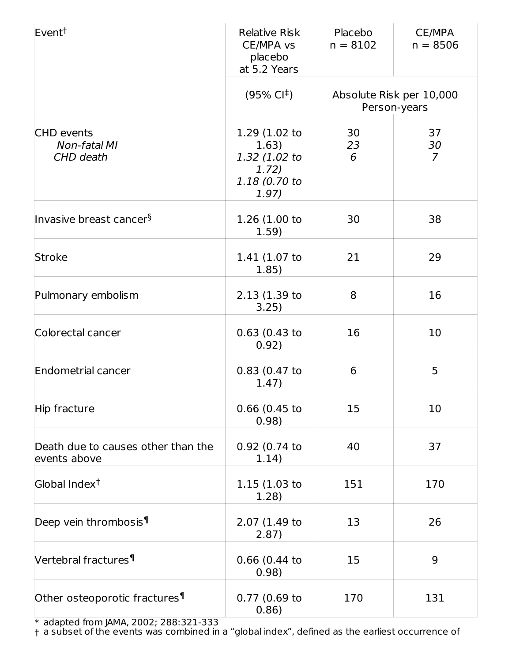| Event <sup>†</sup>                                 | <b>Relative Risk</b><br>CE/MPA vs<br>placebo<br>at 5.2 Years            | Placebo<br>$n = 8102$ | <b>CE/MPA</b><br>$n = 8506$              |
|----------------------------------------------------|-------------------------------------------------------------------------|-----------------------|------------------------------------------|
|                                                    | $(95\% \text{ Cl}^+)$                                                   |                       | Absolute Risk per 10,000<br>Person-years |
| <b>CHD</b> events<br>Non-fatal MI<br>CHD death     | 1.29(1.02)<br>1.63)<br>1.32 (1.02 to<br>1.72)<br>1.18 (0.70 to<br>1.97) | 30<br>23<br>6         | 37<br>30<br>$\overline{7}$               |
| Invasive breast cancer <sup>§</sup>                | 1.26 (1.00 to<br>1.59)                                                  | 30                    | 38                                       |
| Stroke                                             | 1.41 (1.07 to<br>1.85)                                                  | 21                    | 29                                       |
| Pulmonary embolism                                 | $2.13(1.39)$ to<br>3.25)                                                | 8                     | 16                                       |
| Colorectal cancer                                  | 0.63(0.43)<br>0.92)                                                     | 16                    | 10                                       |
| <b>Endometrial cancer</b>                          | 0.83(0.47)<br>1.47)                                                     | 6                     | 5                                        |
| Hip fracture                                       | $0.66$ (0.45 to<br>0.98)                                                | 15                    | 10                                       |
| Death due to causes other than the<br>events above | 0.92 (0.74 to<br>1.14)                                                  | 40                    | 37                                       |
| Global Index <sup>†</sup>                          | 1.15(1.03)<br>1.28)                                                     | 151                   | 170                                      |
| Deep vein thrombosis <sup>¶</sup>                  | 2.07 (1.49 to<br>2.87)                                                  | 13                    | 26                                       |
| Vertebral fractures <sup>¶</sup>                   | $0.66$ (0.44 to<br>0.98)                                                | 15                    | 9                                        |
| Other osteoporotic fractures¶                      | 0.77 (0.69 to<br>0.86)                                                  | 170                   | 131                                      |

\* adapted from JAMA, 2002; 288:321-333

† a subset of the events was combined in a "global index", defined as the earliest occurrence of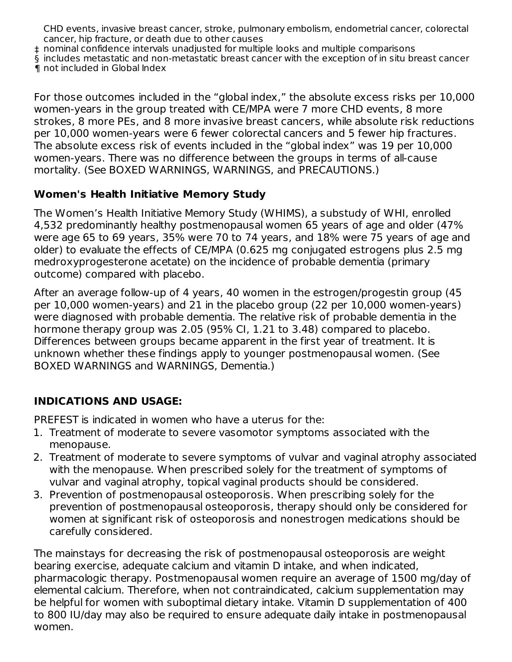† CHD events, invasive breast cancer, stroke, pulmonary embolism, endometrial cancer, colorectal cancer, hip fracture, or death due to other causes

‡ nominal confidence intervals unadjusted for multiple looks and multiple comparisons

§ includes metastatic and non-metastatic breast cancer with the exception of in situ breast cancer ¶ not included in Global Index

For those outcomes included in the "global index," the absolute excess risks per 10,000 women-years in the group treated with CE/MPA were 7 more CHD events, 8 more strokes, 8 more PEs, and 8 more invasive breast cancers, while absolute risk reductions per 10,000 women-years were 6 fewer colorectal cancers and 5 fewer hip fractures. The absolute excess risk of events included in the "global index" was 19 per 10,000 women-years. There was no difference between the groups in terms of all-cause mortality. (See BOXED WARNINGS, WARNINGS, and PRECAUTIONS.)

#### **Women's Health Initiative Memory Study**

The Women's Health Initiative Memory Study (WHIMS), a substudy of WHI, enrolled 4,532 predominantly healthy postmenopausal women 65 years of age and older (47% were age 65 to 69 years, 35% were 70 to 74 years, and 18% were 75 years of age and older) to evaluate the effects of CE/MPA (0.625 mg conjugated estrogens plus 2.5 mg medroxyprogesterone acetate) on the incidence of probable dementia (primary outcome) compared with placebo.

After an average follow-up of 4 years, 40 women in the estrogen/progestin group (45 per 10,000 women-years) and 21 in the placebo group (22 per 10,000 women-years) were diagnosed with probable dementia. The relative risk of probable dementia in the hormone therapy group was 2.05 (95% CI, 1.21 to 3.48) compared to placebo. Differences between groups became apparent in the first year of treatment. It is unknown whether these findings apply to younger postmenopausal women. (See BOXED WARNINGS and WARNINGS, Dementia.)

#### **INDICATIONS AND USAGE:**

PREFEST is indicated in women who have a uterus for the:

- 1. Treatment of moderate to severe vasomotor symptoms associated with the menopause.
- 2. Treatment of moderate to severe symptoms of vulvar and vaginal atrophy associated with the menopause. When prescribed solely for the treatment of symptoms of vulvar and vaginal atrophy, topical vaginal products should be considered.
- 3. Prevention of postmenopausal osteoporosis. When prescribing solely for the prevention of postmenopausal osteoporosis, therapy should only be considered for women at significant risk of osteoporosis and nonestrogen medications should be carefully considered.

The mainstays for decreasing the risk of postmenopausal osteoporosis are weight bearing exercise, adequate calcium and vitamin D intake, and when indicated, pharmacologic therapy. Postmenopausal women require an average of 1500 mg/day of elemental calcium. Therefore, when not contraindicated, calcium supplementation may be helpful for women with suboptimal dietary intake. Vitamin D supplementation of 400 to 800 IU/day may also be required to ensure adequate daily intake in postmenopausal women.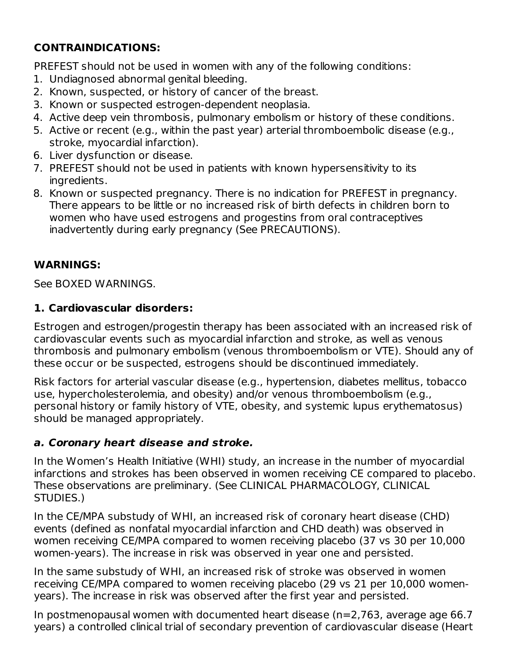#### **CONTRAINDICATIONS:**

PREFEST should not be used in women with any of the following conditions:

- 1. Undiagnosed abnormal genital bleeding.
- 2. Known, suspected, or history of cancer of the breast.
- 3. Known or suspected estrogen-dependent neoplasia.
- 4. Active deep vein thrombosis, pulmonary embolism or history of these conditions.
- 5. Active or recent (e.g., within the past year) arterial thromboembolic disease (e.g., stroke, myocardial infarction).
- 6. Liver dysfunction or disease.
- 7. PREFEST should not be used in patients with known hypersensitivity to its ingredients.
- 8. Known or suspected pregnancy. There is no indication for PREFEST in pregnancy. There appears to be little or no increased risk of birth defects in children born to women who have used estrogens and progestins from oral contraceptives inadvertently during early pregnancy (See PRECAUTIONS).

#### **WARNINGS:**

See BOXED WARNINGS.

#### **1. Cardiovascular disorders:**

Estrogen and estrogen/progestin therapy has been associated with an increased risk of cardiovascular events such as myocardial infarction and stroke, as well as venous thrombosis and pulmonary embolism (venous thromboembolism or VTE). Should any of these occur or be suspected, estrogens should be discontinued immediately.

Risk factors for arterial vascular disease (e.g., hypertension, diabetes mellitus, tobacco use, hypercholesterolemia, and obesity) and/or venous thromboembolism (e.g., personal history or family history of VTE, obesity, and systemic lupus erythematosus) should be managed appropriately.

#### **a. Coronary heart disease and stroke.**

In the Women's Health Initiative (WHI) study, an increase in the number of myocardial infarctions and strokes has been observed in women receiving CE compared to placebo. These observations are preliminary. (See CLINICAL PHARMACOLOGY, CLINICAL STUDIES.)

In the CE/MPA substudy of WHI, an increased risk of coronary heart disease (CHD) events (defined as nonfatal myocardial infarction and CHD death) was observed in women receiving CE/MPA compared to women receiving placebo (37 vs 30 per 10,000 women-years). The increase in risk was observed in year one and persisted.

In the same substudy of WHI, an increased risk of stroke was observed in women receiving CE/MPA compared to women receiving placebo (29 vs 21 per 10,000 womenyears). The increase in risk was observed after the first year and persisted.

In postmenopausal women with documented heart disease ( $n=2,763$ , average age 66.7 years) a controlled clinical trial of secondary prevention of cardiovascular disease (Heart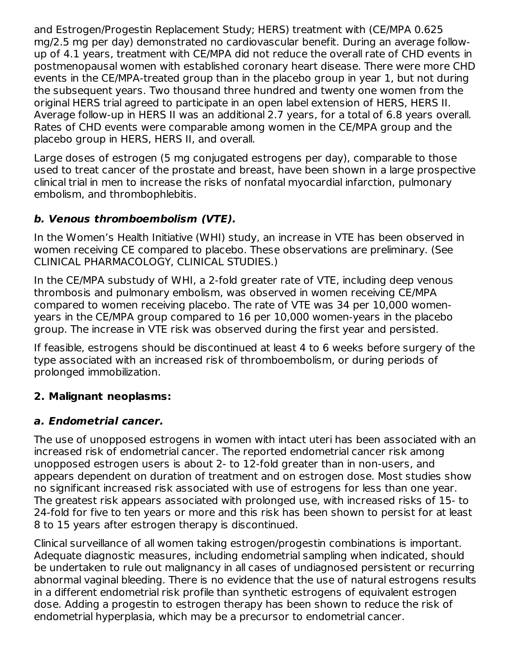and Estrogen/Progestin Replacement Study; HERS) treatment with (CE/MPA 0.625 mg/2.5 mg per day) demonstrated no cardiovascular benefit. During an average followup of 4.1 years, treatment with CE/MPA did not reduce the overall rate of CHD events in postmenopausal women with established coronary heart disease. There were more CHD events in the CE/MPA-treated group than in the placebo group in year 1, but not during the subsequent years. Two thousand three hundred and twenty one women from the original HERS trial agreed to participate in an open label extension of HERS, HERS II. Average follow-up in HERS II was an additional 2.7 years, for a total of 6.8 years overall. Rates of CHD events were comparable among women in the CE/MPA group and the placebo group in HERS, HERS II, and overall.

Large doses of estrogen (5 mg conjugated estrogens per day), comparable to those used to treat cancer of the prostate and breast, have been shown in a large prospective clinical trial in men to increase the risks of nonfatal myocardial infarction, pulmonary embolism, and thrombophlebitis.

#### **b. Venous thromboembolism (VTE).**

In the Women's Health Initiative (WHI) study, an increase in VTE has been observed in women receiving CE compared to placebo. These observations are preliminary. (See CLINICAL PHARMACOLOGY, CLINICAL STUDIES.)

In the CE/MPA substudy of WHI, a 2-fold greater rate of VTE, including deep venous thrombosis and pulmonary embolism, was observed in women receiving CE/MPA compared to women receiving placebo. The rate of VTE was 34 per 10,000 womenyears in the CE/MPA group compared to 16 per 10,000 women-years in the placebo group. The increase in VTE risk was observed during the first year and persisted.

If feasible, estrogens should be discontinued at least 4 to 6 weeks before surgery of the type associated with an increased risk of thromboembolism, or during periods of prolonged immobilization.

#### **2. Malignant neoplasms:**

#### **a. Endometrial cancer.**

The use of unopposed estrogens in women with intact uteri has been associated with an increased risk of endometrial cancer. The reported endometrial cancer risk among unopposed estrogen users is about 2- to 12-fold greater than in non-users, and appears dependent on duration of treatment and on estrogen dose. Most studies show no significant increased risk associated with use of estrogens for less than one year. The greatest risk appears associated with prolonged use, with increased risks of 15- to 24-fold for five to ten years or more and this risk has been shown to persist for at least 8 to 15 years after estrogen therapy is discontinued.

Clinical surveillance of all women taking estrogen/progestin combinations is important. Adequate diagnostic measures, including endometrial sampling when indicated, should be undertaken to rule out malignancy in all cases of undiagnosed persistent or recurring abnormal vaginal bleeding. There is no evidence that the use of natural estrogens results in a different endometrial risk profile than synthetic estrogens of equivalent estrogen dose. Adding a progestin to estrogen therapy has been shown to reduce the risk of endometrial hyperplasia, which may be a precursor to endometrial cancer.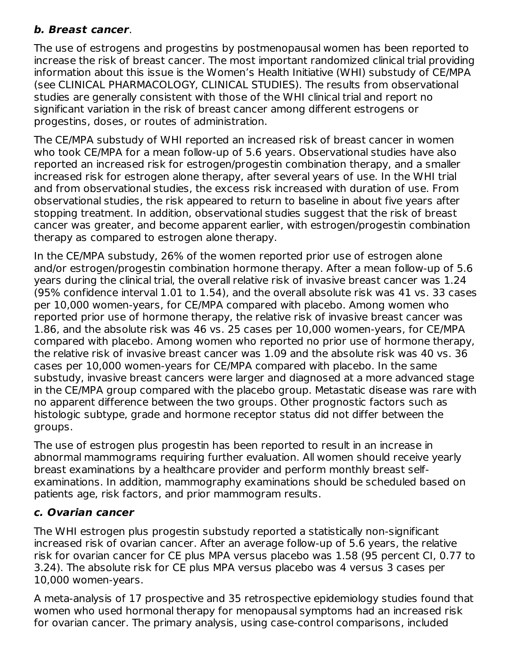#### **b. Breast cancer**.

The use of estrogens and progestins by postmenopausal women has been reported to increase the risk of breast cancer. The most important randomized clinical trial providing information about this issue is the Women's Health Initiative (WHI) substudy of CE/MPA (see CLINICAL PHARMACOLOGY, CLINICAL STUDIES). The results from observational studies are generally consistent with those of the WHI clinical trial and report no significant variation in the risk of breast cancer among different estrogens or progestins, doses, or routes of administration.

The CE/MPA substudy of WHI reported an increased risk of breast cancer in women who took CE/MPA for a mean follow-up of 5.6 years. Observational studies have also reported an increased risk for estrogen/progestin combination therapy, and a smaller increased risk for estrogen alone therapy, after several years of use. In the WHI trial and from observational studies, the excess risk increased with duration of use. From observational studies, the risk appeared to return to baseline in about five years after stopping treatment. In addition, observational studies suggest that the risk of breast cancer was greater, and become apparent earlier, with estrogen/progestin combination therapy as compared to estrogen alone therapy.

In the CE/MPA substudy, 26% of the women reported prior use of estrogen alone and/or estrogen/progestin combination hormone therapy. After a mean follow-up of 5.6 years during the clinical trial, the overall relative risk of invasive breast cancer was 1.24 (95% confidence interval 1.01 to 1.54), and the overall absolute risk was 41 vs. 33 cases per 10,000 women-years, for CE/MPA compared with placebo. Among women who reported prior use of hormone therapy, the relative risk of invasive breast cancer was 1.86, and the absolute risk was 46 vs. 25 cases per 10,000 women-years, for CE/MPA compared with placebo. Among women who reported no prior use of hormone therapy, the relative risk of invasive breast cancer was 1.09 and the absolute risk was 40 vs. 36 cases per 10,000 women-years for CE/MPA compared with placebo. In the same substudy, invasive breast cancers were larger and diagnosed at a more advanced stage in the CE/MPA group compared with the placebo group. Metastatic disease was rare with no apparent difference between the two groups. Other prognostic factors such as histologic subtype, grade and hormone receptor status did not differ between the groups.

The use of estrogen plus progestin has been reported to result in an increase in abnormal mammograms requiring further evaluation. All women should receive yearly breast examinations by a healthcare provider and perform monthly breast selfexaminations. In addition, mammography examinations should be scheduled based on patients age, risk factors, and prior mammogram results.

#### **c. Ovarian cancer**

The WHI estrogen plus progestin substudy reported a statistically non-significant increased risk of ovarian cancer. After an average follow-up of 5.6 years, the relative risk for ovarian cancer for CE plus MPA versus placebo was 1.58 (95 percent CI, 0.77 to 3.24). The absolute risk for CE plus MPA versus placebo was 4 versus 3 cases per 10,000 women-years.

A meta-analysis of 17 prospective and 35 retrospective epidemiology studies found that women who used hormonal therapy for menopausal symptoms had an increased risk for ovarian cancer. The primary analysis, using case-control comparisons, included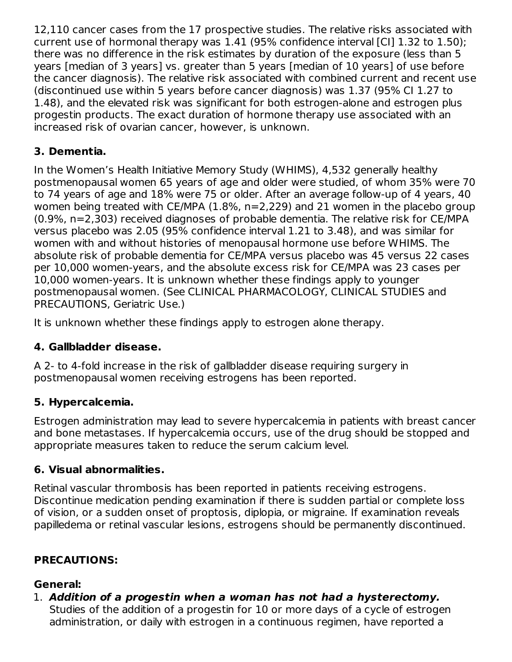12,110 cancer cases from the 17 prospective studies. The relative risks associated with current use of hormonal therapy was 1.41 (95% confidence interval [CI] 1.32 to 1.50); there was no difference in the risk estimates by duration of the exposure (less than 5 years [median of 3 years] vs. greater than 5 years [median of 10 years] of use before the cancer diagnosis). The relative risk associated with combined current and recent use (discontinued use within 5 years before cancer diagnosis) was 1.37 (95% CI 1.27 to 1.48), and the elevated risk was significant for both estrogen-alone and estrogen plus progestin products. The exact duration of hormone therapy use associated with an increased risk of ovarian cancer, however, is unknown.

#### **3. Dementia.**

In the Women's Health Initiative Memory Study (WHIMS), 4,532 generally healthy postmenopausal women 65 years of age and older were studied, of whom 35% were 70 to 74 years of age and 18% were 75 or older. After an average follow-up of 4 years, 40 women being treated with CE/MPA (1.8%, n=2,229) and 21 women in the placebo group (0.9%, n=2,303) received diagnoses of probable dementia. The relative risk for CE/MPA versus placebo was 2.05 (95% confidence interval 1.21 to 3.48), and was similar for women with and without histories of menopausal hormone use before WHIMS. The absolute risk of probable dementia for CE/MPA versus placebo was 45 versus 22 cases per 10,000 women-years, and the absolute excess risk for CE/MPA was 23 cases per 10,000 women-years. It is unknown whether these findings apply to younger postmenopausal women. (See CLINICAL PHARMACOLOGY, CLINICAL STUDIES and PRECAUTIONS, Geriatric Use.)

It is unknown whether these findings apply to estrogen alone therapy.

# **4. Gallbladder disease.**

A 2- to 4-fold increase in the risk of gallbladder disease requiring surgery in postmenopausal women receiving estrogens has been reported.

# **5. Hypercalcemia.**

Estrogen administration may lead to severe hypercalcemia in patients with breast cancer and bone metastases. If hypercalcemia occurs, use of the drug should be stopped and appropriate measures taken to reduce the serum calcium level.

# **6. Visual abnormalities.**

Retinal vascular thrombosis has been reported in patients receiving estrogens. Discontinue medication pending examination if there is sudden partial or complete loss of vision, or a sudden onset of proptosis, diplopia, or migraine. If examination reveals papilledema or retinal vascular lesions, estrogens should be permanently discontinued.

# **PRECAUTIONS:**

# **General:**

1. **Addition of a progestin when a woman has not had a hysterectomy.** Studies of the addition of a progestin for 10 or more days of a cycle of estrogen administration, or daily with estrogen in a continuous regimen, have reported a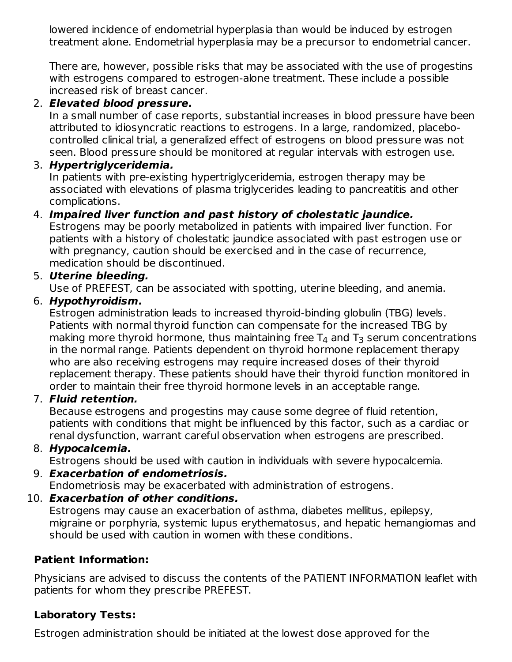lowered incidence of endometrial hyperplasia than would be induced by estrogen treatment alone. Endometrial hyperplasia may be a precursor to endometrial cancer.

There are, however, possible risks that may be associated with the use of progestins with estrogens compared to estrogen-alone treatment. These include a possible increased risk of breast cancer.

#### 2. **Elevated blood pressure.**

In a small number of case reports, substantial increases in blood pressure have been attributed to idiosyncratic reactions to estrogens. In a large, randomized, placebocontrolled clinical trial, a generalized effect of estrogens on blood pressure was not seen. Blood pressure should be monitored at regular intervals with estrogen use.

#### 3. **Hypertriglyceridemia.**

In patients with pre-existing hypertriglyceridemia, estrogen therapy may be associated with elevations of plasma triglycerides leading to pancreatitis and other complications.

#### 4. **Impaired liver function and past history of cholestatic jaundice.**

Estrogens may be poorly metabolized in patients with impaired liver function. For patients with a history of cholestatic jaundice associated with past estrogen use or with pregnancy, caution should be exercised and in the case of recurrence, medication should be discontinued.

#### 5. **Uterine bleeding.**

Use of PREFEST, can be associated with spotting, uterine bleeding, and anemia.

#### 6. **Hypothyroidism.**

Estrogen administration leads to increased thyroid-binding globulin (TBG) levels. Patients with normal thyroid function can compensate for the increased TBG by making more thyroid hormone, thus maintaining free  ${\sf T}_4$  and  ${\sf T}_3$  serum concentrations in the normal range. Patients dependent on thyroid hormone replacement therapy who are also receiving estrogens may require increased doses of their thyroid replacement therapy. These patients should have their thyroid function monitored in order to maintain their free thyroid hormone levels in an acceptable range.

#### 7. **Fluid retention.**

Because estrogens and progestins may cause some degree of fluid retention, patients with conditions that might be influenced by this factor, such as a cardiac or renal dysfunction, warrant careful observation when estrogens are prescribed.

#### 8. **Hypocalcemia.**

Estrogens should be used with caution in individuals with severe hypocalcemia.

#### 9. **Exacerbation of endometriosis.**

Endometriosis may be exacerbated with administration of estrogens.

#### 10. **Exacerbation of other conditions.**

Estrogens may cause an exacerbation of asthma, diabetes mellitus, epilepsy, migraine or porphyria, systemic lupus erythematosus, and hepatic hemangiomas and should be used with caution in women with these conditions.

#### **Patient Information:**

Physicians are advised to discuss the contents of the PATIENT INFORMATION leaflet with patients for whom they prescribe PREFEST.

#### **Laboratory Tests:**

Estrogen administration should be initiated at the lowest dose approved for the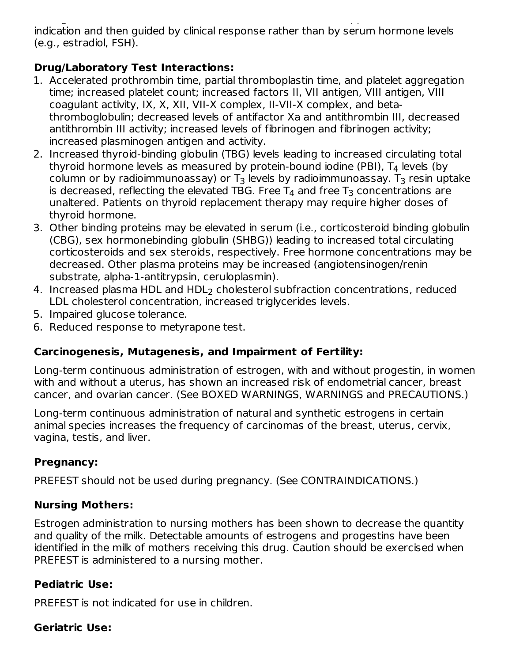Estrogen administration should be initiated at the lowest dose approved for the indication and then guided by clinical response rather than by serum hormone levels (e.g., estradiol, FSH).

#### **Drug/Laboratory Test Interactions:**

- 1. Accelerated prothrombin time, partial thromboplastin time, and platelet aggregation time; increased platelet count; increased factors II, VII antigen, VIII antigen, VIII coagulant activity, IX, X, XII, VII-X complex, II-VII-X complex, and betathromboglobulin; decreased levels of antifactor Xa and antithrombin III, decreased antithrombin III activity; increased levels of fibrinogen and fibrinogen activity; increased plasminogen antigen and activity.
- 2. Increased thyroid-binding globulin (TBG) levels leading to increased circulating total thyroid hormone levels as measured by protein-bound iodine (PBI),  ${\mathsf T}_4$  levels (by column or by radioimmunoassay) or T $_3$  levels by radioimmunoassay. T $_3$  resin uptake is decreased, reflecting the elevated TBG. Free  $T_4$  and free  $T_3$  concentrations are unaltered. Patients on thyroid replacement therapy may require higher doses of thyroid hormone.
- 3. Other binding proteins may be elevated in serum (i.e., corticosteroid binding globulin (CBG), sex hormonebinding globulin (SHBG)) leading to increased total circulating corticosteroids and sex steroids, respectively. Free hormone concentrations may be decreased. Other plasma proteins may be increased (angiotensinogen/renin substrate, alpha-1-antitrypsin, ceruloplasmin).
- 4. Increased plasma HDL and  $HDL<sub>2</sub>$  cholesterol subfraction concentrations, reduced LDL cholesterol concentration, increased triglycerides levels.
- 5. Impaired glucose tolerance.
- 6. Reduced response to metyrapone test.

#### **Carcinogenesis, Mutagenesis, and Impairment of Fertility:**

Long-term continuous administration of estrogen, with and without progestin, in women with and without a uterus, has shown an increased risk of endometrial cancer, breast cancer, and ovarian cancer. (See BOXED WARNINGS, WARNINGS and PRECAUTIONS.)

Long-term continuous administration of natural and synthetic estrogens in certain animal species increases the frequency of carcinomas of the breast, uterus, cervix, vagina, testis, and liver.

#### **Pregnancy:**

PREFEST should not be used during pregnancy. (See CONTRAINDICATIONS.)

#### **Nursing Mothers:**

Estrogen administration to nursing mothers has been shown to decrease the quantity and quality of the milk. Detectable amounts of estrogens and progestins have been identified in the milk of mothers receiving this drug. Caution should be exercised when PREFEST is administered to a nursing mother.

#### **Pediatric Use:**

PREFEST is not indicated for use in children.

#### **Geriatric Use:**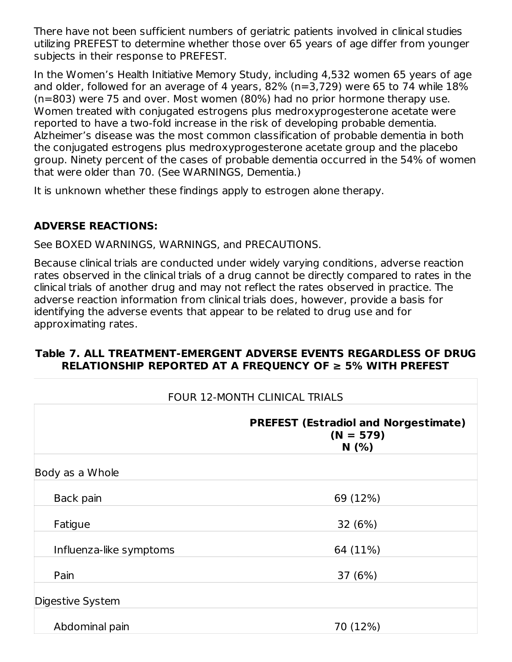There have not been sufficient numbers of geriatric patients involved in clinical studies utilizing PREFEST to determine whether those over 65 years of age differ from younger subjects in their response to PREFEST.

In the Women's Health Initiative Memory Study, including 4,532 women 65 years of age and older, followed for an average of 4 years, 82% (n=3,729) were 65 to 74 while 18% (n=803) were 75 and over. Most women (80%) had no prior hormone therapy use. Women treated with conjugated estrogens plus medroxyprogesterone acetate were reported to have a two-fold increase in the risk of developing probable dementia. Alzheimer's disease was the most common classification of probable dementia in both the conjugated estrogens plus medroxyprogesterone acetate group and the placebo group. Ninety percent of the cases of probable dementia occurred in the 54% of women that were older than 70. (See WARNINGS, Dementia.)

It is unknown whether these findings apply to estrogen alone therapy.

#### **ADVERSE REACTIONS:**

See BOXED WARNINGS, WARNINGS, and PRECAUTIONS.

Because clinical trials are conducted under widely varying conditions, adverse reaction rates observed in the clinical trials of a drug cannot be directly compared to rates in the clinical trials of another drug and may not reflect the rates observed in practice. The adverse reaction information from clinical trials does, however, provide a basis for identifying the adverse events that appear to be related to drug use and for approximating rates.

#### **Table 7. ALL TREATMENT-EMERGENT ADVERSE EVENTS REGARDLESS OF DRUG RELATIONSHIP REPORTED AT A FREQUENCY OF ≥ 5% WITH PREFEST**

#### FOUR 12-MONTH CLINICAL TRIALS

|                         | <b>PREFEST (Estradiol and Norgestimate)</b><br>$(N = 579)$<br>N(% ) |
|-------------------------|---------------------------------------------------------------------|
| Body as a Whole         |                                                                     |
| Back pain               | 69 (12%)                                                            |
| Fatigue                 | 32(6%)                                                              |
| Influenza-like symptoms | 64 (11%)                                                            |
| Pain                    | 37 (6%)                                                             |
| Digestive System        |                                                                     |
| Abdominal pain          | 70 (12%)                                                            |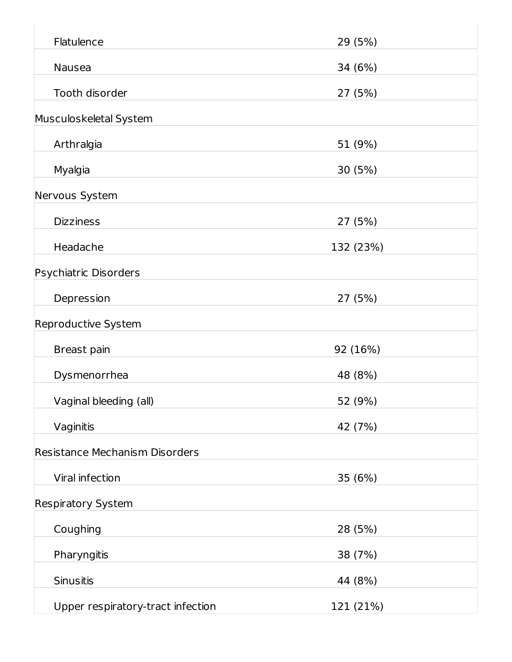| Flatulence                            | 29 (5%)   |
|---------------------------------------|-----------|
| Nausea                                | 34 (6%)   |
| Tooth disorder                        | 27 (5%)   |
| Musculoskeletal System                |           |
| Arthralgia                            | 51 (9%)   |
| Myalgia                               | 30 (5%)   |
| Nervous System                        |           |
| <b>Dizziness</b>                      | 27 (5%)   |
| Headache                              | 132 (23%) |
| Psychiatric Disorders                 |           |
| Depression                            | 27 (5%)   |
| <b>Reproductive System</b>            |           |
| Breast pain                           | 92 (16%)  |
| Dysmenorrhea                          | 48 (8%)   |
| Vaginal bleeding (all)                | 52 (9%)   |
| Vaginitis                             | 42 (7%)   |
| <b>Resistance Mechanism Disorders</b> |           |
| Viral infection                       | 35 (6%)   |
| <b>Respiratory System</b>             |           |
| Coughing                              | 28 (5%)   |
| Pharyngitis                           | 38 (7%)   |
| <b>Sinusitis</b>                      | 44 (8%)   |
| Upper respiratory-tract infection     | 121 (21%) |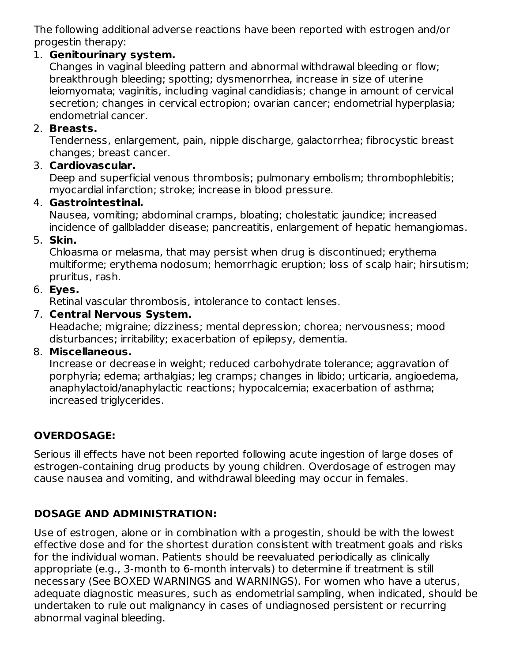The following additional adverse reactions have been reported with estrogen and/or progestin therapy:

#### 1. **Genitourinary system.**

Changes in vaginal bleeding pattern and abnormal withdrawal bleeding or flow; breakthrough bleeding; spotting; dysmenorrhea, increase in size of uterine leiomyomata; vaginitis, including vaginal candidiasis; change in amount of cervical secretion; changes in cervical ectropion; ovarian cancer; endometrial hyperplasia; endometrial cancer.

#### 2. **Breasts.**

Tenderness, enlargement, pain, nipple discharge, galactorrhea; fibrocystic breast changes; breast cancer.

#### 3. **Cardiovascular.**

Deep and superficial venous thrombosis; pulmonary embolism; thrombophlebitis; myocardial infarction; stroke; increase in blood pressure.

#### 4. **Gastrointestinal.**

Nausea, vomiting; abdominal cramps, bloating; cholestatic jaundice; increased incidence of gallbladder disease; pancreatitis, enlargement of hepatic hemangiomas.

#### 5. **Skin.**

Chloasma or melasma, that may persist when drug is discontinued; erythema multiforme; erythema nodosum; hemorrhagic eruption; loss of scalp hair; hirsutism; pruritus, rash.

#### 6. **Eyes.**

Retinal vascular thrombosis, intolerance to contact lenses.

#### 7. **Central Nervous System.**

Headache; migraine; dizziness; mental depression; chorea; nervousness; mood disturbances; irritability; exacerbation of epilepsy, dementia.

#### 8. **Miscellaneous.**

Increase or decrease in weight; reduced carbohydrate tolerance; aggravation of porphyria; edema; arthalgias; leg cramps; changes in libido; urticaria, angioedema, anaphylactoid/anaphylactic reactions; hypocalcemia; exacerbation of asthma; increased triglycerides.

#### **OVERDOSAGE:**

Serious ill effects have not been reported following acute ingestion of large doses of estrogen-containing drug products by young children. Overdosage of estrogen may cause nausea and vomiting, and withdrawal bleeding may occur in females.

#### **DOSAGE AND ADMINISTRATION:**

Use of estrogen, alone or in combination with a progestin, should be with the lowest effective dose and for the shortest duration consistent with treatment goals and risks for the individual woman. Patients should be reevaluated periodically as clinically appropriate (e.g., 3-month to 6-month intervals) to determine if treatment is still necessary (See BOXED WARNINGS and WARNINGS). For women who have a uterus, adequate diagnostic measures, such as endometrial sampling, when indicated, should be undertaken to rule out malignancy in cases of undiagnosed persistent or recurring abnormal vaginal bleeding.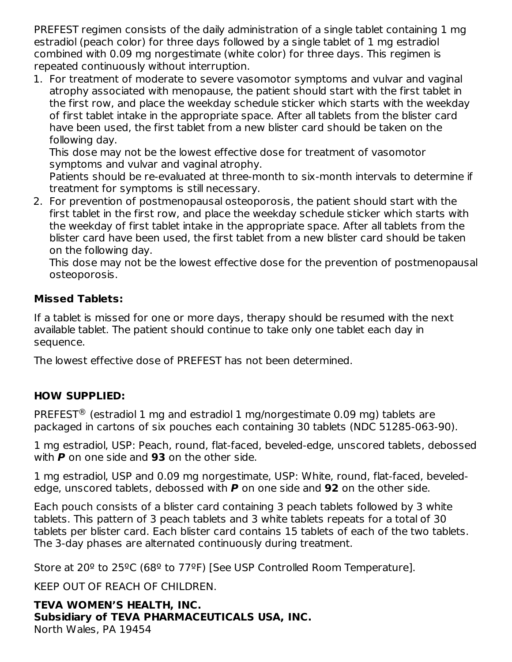PREFEST regimen consists of the daily administration of a single tablet containing 1 mg estradiol (peach color) for three days followed by a single tablet of 1 mg estradiol combined with 0.09 mg norgestimate (white color) for three days. This regimen is repeated continuously without interruption.

1. For treatment of moderate to severe vasomotor symptoms and vulvar and vaginal atrophy associated with menopause, the patient should start with the first tablet in the first row, and place the weekday schedule sticker which starts with the weekday of first tablet intake in the appropriate space. After all tablets from the blister card have been used, the first tablet from a new blister card should be taken on the following day.

This dose may not be the lowest effective dose for treatment of vasomotor symptoms and vulvar and vaginal atrophy.

Patients should be re-evaluated at three-month to six-month intervals to determine if treatment for symptoms is still necessary.

2. For prevention of postmenopausal osteoporosis, the patient should start with the first tablet in the first row, and place the weekday schedule sticker which starts with the weekday of first tablet intake in the appropriate space. After all tablets from the blister card have been used, the first tablet from a new blister card should be taken on the following day.

This dose may not be the lowest effective dose for the prevention of postmenopausal osteoporosis.

#### **Missed Tablets:**

If a tablet is missed for one or more days, therapy should be resumed with the next available tablet. The patient should continue to take only one tablet each day in sequence.

The lowest effective dose of PREFEST has not been determined.

#### **HOW SUPPLIED:**

PREFEST $^{\circledR}$  (estradiol 1 mg and estradiol 1 mg/norgestimate 0.09 mg) tablets are packaged in cartons of six pouches each containing 30 tablets (NDC 51285-063-90).

1 mg estradiol, USP: Peach, round, flat-faced, beveled-edge, unscored tablets, debossed with **P** on one side and **93** on the other side.

1 mg estradiol, USP and 0.09 mg norgestimate, USP: White, round, flat-faced, bevelededge, unscored tablets, debossed with **P** on one side and **92** on the other side.

Each pouch consists of a blister card containing 3 peach tablets followed by 3 white tablets. This pattern of 3 peach tablets and 3 white tablets repeats for a total of 30 tablets per blister card. Each blister card contains 15 tablets of each of the two tablets. The 3-day phases are alternated continuously during treatment.

Store at 20º to 25ºC (68º to 77ºF) [See USP Controlled Room Temperature].

KEEP OUT OF REACH OF CHILDREN.

#### **TEVA WOMEN'S HEALTH, INC. Subsidiary of TEVA PHARMACEUTICALS USA, INC.** North Wales, PA 19454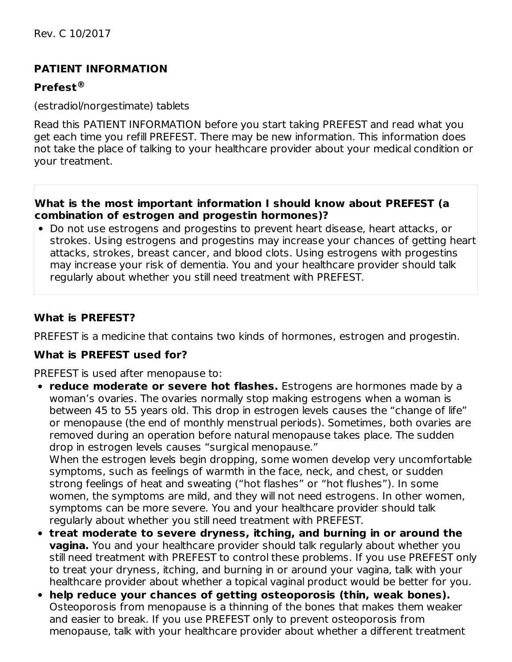#### **PATIENT INFORMATION**

#### **Prefest ®**

(estradiol/norgestimate) tablets

Read this PATIENT INFORMATION before you start taking PREFEST and read what you get each time you refill PREFEST. There may be new information. This information does not take the place of talking to your healthcare provider about your medical condition or your treatment.

#### **What is the most important information I should know about PREFEST (a combination of estrogen and progestin hormones)?**

Do not use estrogens and progestins to prevent heart disease, heart attacks, or strokes. Using estrogens and progestins may increase your chances of getting heart attacks, strokes, breast cancer, and blood clots. Using estrogens with progestins may increase your risk of dementia. You and your healthcare provider should talk regularly about whether you still need treatment with PREFEST.

#### **What is PREFEST?**

PREFEST is a medicine that contains two kinds of hormones, estrogen and progestin.

#### **What is PREFEST used for?**

PREFEST is used after menopause to:

**reduce moderate or severe hot flashes.** Estrogens are hormones made by a woman's ovaries. The ovaries normally stop making estrogens when a woman is between 45 to 55 years old. This drop in estrogen levels causes the "change of life" or menopause (the end of monthly menstrual periods). Sometimes, both ovaries are removed during an operation before natural menopause takes place. The sudden drop in estrogen levels causes "surgical menopause."

When the estrogen levels begin dropping, some women develop very uncomfortable symptoms, such as feelings of warmth in the face, neck, and chest, or sudden strong feelings of heat and sweating ("hot flashes" or "hot flushes"). In some women, the symptoms are mild, and they will not need estrogens. In other women, symptoms can be more severe. You and your healthcare provider should talk regularly about whether you still need treatment with PREFEST.

- **treat moderate to severe dryness, itching, and burning in or around the vagina.** You and your healthcare provider should talk regularly about whether you still need treatment with PREFEST to control these problems. If you use PREFEST only to treat your dryness, itching, and burning in or around your vagina, talk with your healthcare provider about whether a topical vaginal product would be better for you.
- **help reduce your chances of getting osteoporosis (thin, weak bones).** Osteoporosis from menopause is a thinning of the bones that makes them weaker and easier to break. If you use PREFEST only to prevent osteoporosis from menopause, talk with your healthcare provider about whether a different treatment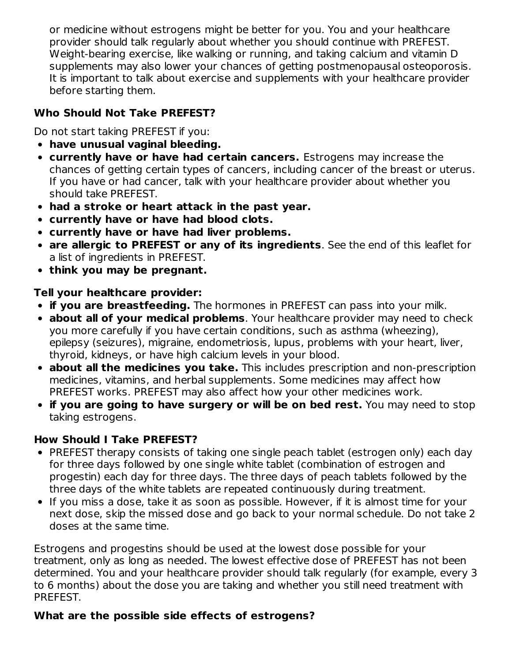or medicine without estrogens might be better for you. You and your healthcare provider should talk regularly about whether you should continue with PREFEST. Weight-bearing exercise, like walking or running, and taking calcium and vitamin D supplements may also lower your chances of getting postmenopausal osteoporosis. It is important to talk about exercise and supplements with your healthcare provider before starting them.

#### **Who Should Not Take PREFEST?**

Do not start taking PREFEST if you:

- **have unusual vaginal bleeding.**
- **currently have or have had certain cancers.** Estrogens may increase the chances of getting certain types of cancers, including cancer of the breast or uterus. If you have or had cancer, talk with your healthcare provider about whether you should take PREFEST.
- **had a stroke or heart attack in the past year.**
- **currently have or have had blood clots.**
- **currently have or have had liver problems.**
- **are allergic to PREFEST or any of its ingredients**. See the end of this leaflet for a list of ingredients in PREFEST.
- **think you may be pregnant.**

#### **Tell your healthcare provider:**

- **if you are breastfeeding.** The hormones in PREFEST can pass into your milk.
- **about all of your medical problems**. Your healthcare provider may need to check you more carefully if you have certain conditions, such as asthma (wheezing), epilepsy (seizures), migraine, endometriosis, lupus, problems with your heart, liver, thyroid, kidneys, or have high calcium levels in your blood.
- **about all the medicines you take.** This includes prescription and non-prescription medicines, vitamins, and herbal supplements. Some medicines may affect how PREFEST works. PREFEST may also affect how your other medicines work.
- **if you are going to have surgery or will be on bed rest.** You may need to stop taking estrogens.

#### **How Should I Take PREFEST?**

- PREFEST therapy consists of taking one single peach tablet (estrogen only) each day for three days followed by one single white tablet (combination of estrogen and progestin) each day for three days. The three days of peach tablets followed by the three days of the white tablets are repeated continuously during treatment.
- If you miss a dose, take it as soon as possible. However, if it is almost time for your next dose, skip the missed dose and go back to your normal schedule. Do not take 2 doses at the same time.

Estrogens and progestins should be used at the lowest dose possible for your treatment, only as long as needed. The lowest effective dose of PREFEST has not been determined. You and your healthcare provider should talk regularly (for example, every 3 to 6 months) about the dose you are taking and whether you still need treatment with PREFEST.

#### **What are the possible side effects of estrogens?**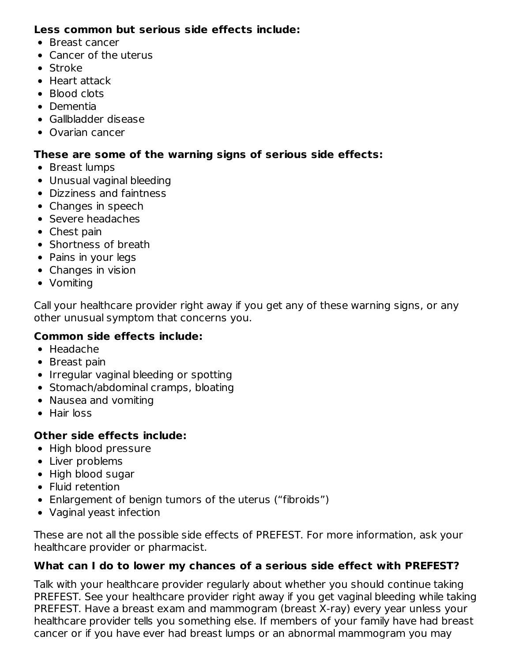#### **Less common but serious side effects include:**

- Breast cancer
- Cancer of the uterus
- Stroke
- Heart attack
- Blood clots
- Dementia
- Gallbladder disease
- Ovarian cancer

#### **These are some of the warning signs of serious side effects:**

- Breast lumps
- Unusual vaginal bleeding
- Dizziness and faintness
- Changes in speech
- Severe headaches
- Chest pain
- Shortness of breath
- Pains in your legs
- Changes in vision
- Vomiting

Call your healthcare provider right away if you get any of these warning signs, or any other unusual symptom that concerns you.

#### **Common side effects include:**

- Headache
- Breast pain
- Irregular vaginal bleeding or spotting
- Stomach/abdominal cramps, bloating
- Nausea and vomiting
- Hair loss

#### **Other side effects include:**

- High blood pressure
- Liver problems
- High blood sugar
- Fluid retention
- Enlargement of benign tumors of the uterus ("fibroids")
- Vaginal yeast infection

These are not all the possible side effects of PREFEST. For more information, ask your healthcare provider or pharmacist.

#### **What can I do to lower my chances of a serious side effect with PREFEST?**

Talk with your healthcare provider regularly about whether you should continue taking PREFEST. See your healthcare provider right away if you get vaginal bleeding while taking PREFEST. Have a breast exam and mammogram (breast X-ray) every year unless your healthcare provider tells you something else. If members of your family have had breast cancer or if you have ever had breast lumps or an abnormal mammogram you may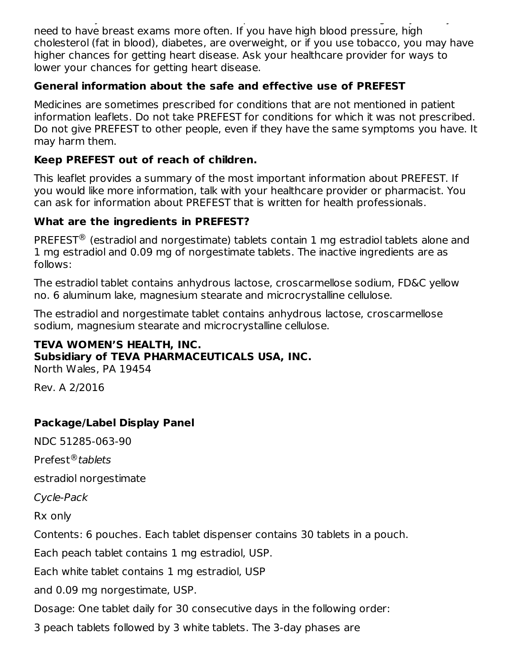cancer or if you have ever had breast lumps or an abnormal mammogram you may need to have breast exams more often. If you have high blood pressure, high cholesterol (fat in blood), diabetes, are overweight, or if you use tobacco, you may have higher chances for getting heart disease. Ask your healthcare provider for ways to lower your chances for getting heart disease.

#### **General information about the safe and effective use of PREFEST**

Medicines are sometimes prescribed for conditions that are not mentioned in patient information leaflets. Do not take PREFEST for conditions for which it was not prescribed. Do not give PREFEST to other people, even if they have the same symptoms you have. It may harm them.

#### **Keep PREFEST out of reach of children.**

This leaflet provides a summary of the most important information about PREFEST. If you would like more information, talk with your healthcare provider or pharmacist. You can ask for information about PREFEST that is written for health professionals.

#### **What are the ingredients in PREFEST?**

PREFEST $^{\circledR}$  (estradiol and norgestimate) tablets contain 1 mg estradiol tablets alone and 1 mg estradiol and 0.09 mg of norgestimate tablets. The inactive ingredients are as follows:

The estradiol tablet contains anhydrous lactose, croscarmellose sodium, FD&C yellow no. 6 aluminum lake, magnesium stearate and microcrystalline cellulose.

The estradiol and norgestimate tablet contains anhydrous lactose, croscarmellose sodium, magnesium stearate and microcrystalline cellulose.

#### **TEVA WOMEN'S HEALTH, INC. Subsidiary of TEVA PHARMACEUTICALS USA, INC.** North Wales, PA 19454

Rev. A 2/2016

#### **Package/Label Display Panel**

NDC 51285-063-90

Prefest®*tablets* 

estradiol norgestimate

Cycle-Pack

Rx only

Contents: 6 pouches. Each tablet dispenser contains 30 tablets in a pouch.

Each peach tablet contains 1 mg estradiol, USP.

Each white tablet contains 1 mg estradiol, USP

and 0.09 mg norgestimate, USP.

Dosage: One tablet daily for 30 consecutive days in the following order:

3 peach tablets followed by 3 white tablets. The 3-day phases are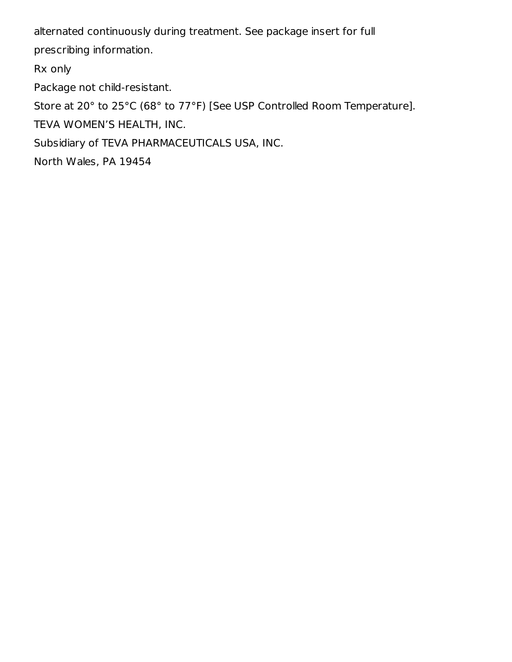alternated continuously during treatment. See package insert for full

prescribing information.

Rx only

Package not child-resistant.

Store at 20° to 25°C (68° to 77°F) [See USP Controlled Room Temperature].

TEVA WOMEN'S HEALTH, INC.

Subsidiary of TEVA PHARMACEUTICALS USA, INC.

North Wales, PA 19454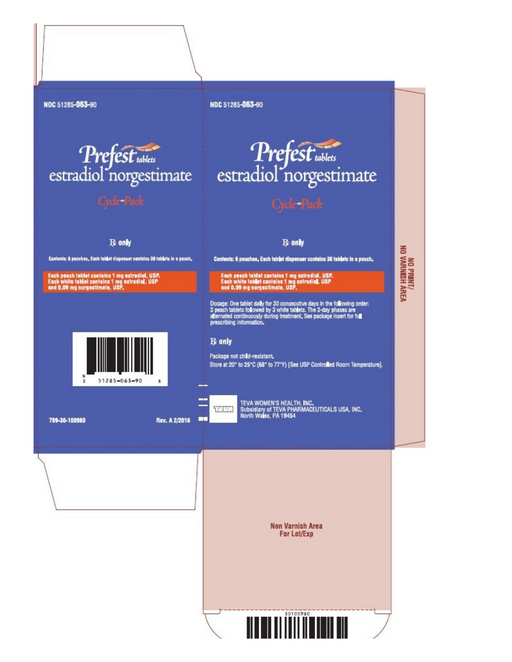NDC 51285-063-90

NDC 51285-063-90

# Prefest tublets

# Prefest ublets<br>estradiol norgestimate

# Cycle Pack

#### **B** only

Contents: 6 pouches, Each tablet dispenser contains 30 tablets in a pouch,

51285-063-90

ş

799-30-100980

Each peach tablet contains 1 mg estradiol, USP.<br>Each white tablet contains 1 mg estradiol, USP<br>and 0.09 mg norgestimate, USP.

#### **B** only

Contents: 6 pouches, Each tablet dispenser contains 30 tablets in a pouch,

Each peach tablet contains 1 mg estradiol, USP.<br>Each white tablet contains 1 mg estradiol, USP<br>and 0,09 mg norgestimate, USP.

Dosage: One tablet daily for 30 consecutive days in the following order:<br>3 peach tablets followed by 3 white tablets. The 3-day phases are<br>alternated continuously during treatment, See package insert for full<br>prescribing i

#### **B** only

Package not child-resistant. Store at 20\* to 25°C (68\* to 77°F) [See USP Controlled Room Temperature].



Rev. A 2/2016

TEVA WOMEN'S HEALTH, INC.<br>Subsidiary of TEVA PHARMACEUTICALS USA, INC.<br>North Wales, PA 19454

**Non Varnish Area** For Lot/Exp

III

NO PRINT/<br>NO VARNISH AREA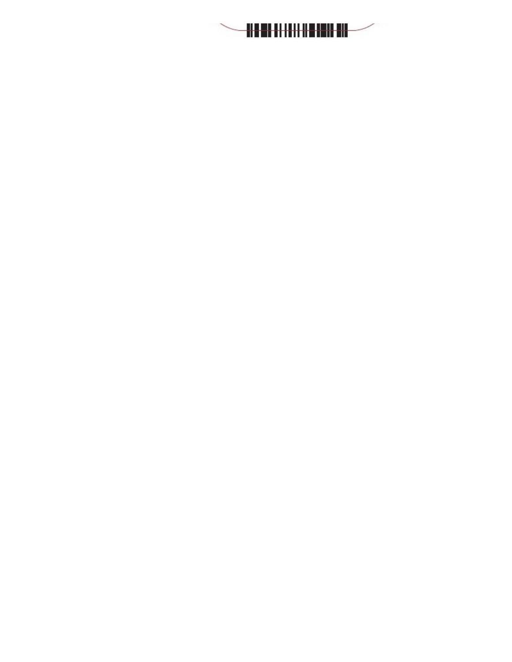$\overbrace{\hspace{1cm}}^{}$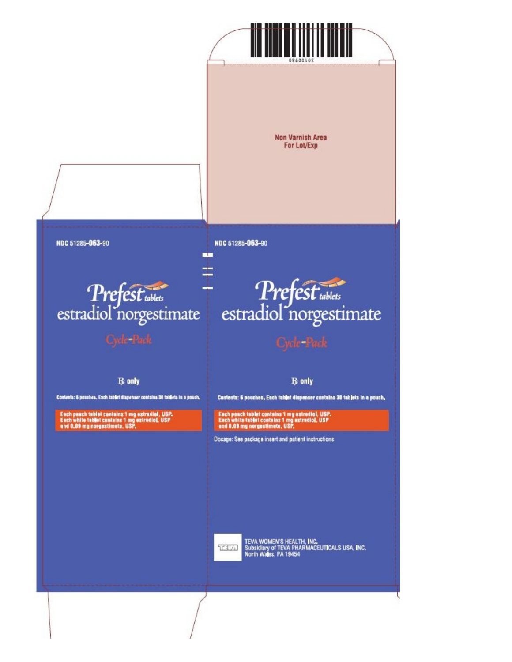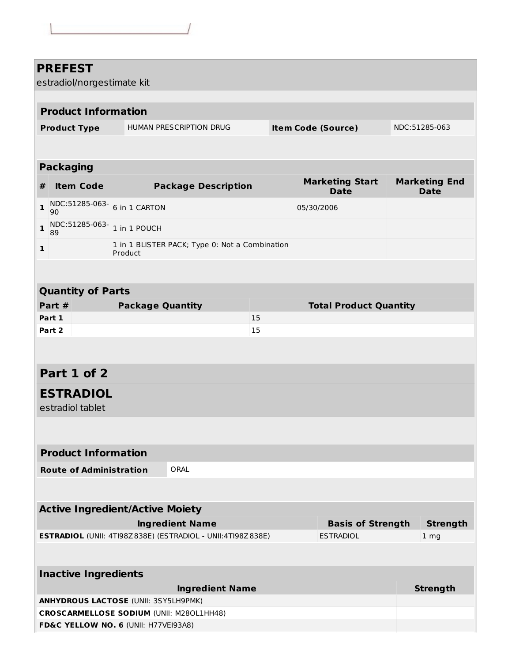|              | <b>PREFEST</b>                                                   |                         |                                                            |    |                           |                                              |  |                                     |
|--------------|------------------------------------------------------------------|-------------------------|------------------------------------------------------------|----|---------------------------|----------------------------------------------|--|-------------------------------------|
|              | estradiol/norgestimate kit                                       |                         |                                                            |    |                           |                                              |  |                                     |
|              | <b>Product Information</b>                                       |                         |                                                            |    |                           |                                              |  |                                     |
|              |                                                                  |                         | <b>HUMAN PRESCRIPTION DRUG</b>                             |    |                           |                                              |  | NDC:51285-063                       |
|              | <b>Product Type</b>                                              |                         |                                                            |    | <b>Item Code (Source)</b> |                                              |  |                                     |
|              |                                                                  |                         |                                                            |    |                           |                                              |  |                                     |
|              | <b>Packaging</b>                                                 |                         |                                                            |    |                           |                                              |  |                                     |
| #            | <b>Item Code</b>                                                 |                         | <b>Package Description</b>                                 |    |                           | <b>Marketing Start</b><br><b>Date</b>        |  | <b>Marketing End</b><br><b>Date</b> |
| $\mathbf{1}$ | NDC:51285-063-<br>90                                             | 6 in 1 CARTON           |                                                            |    | 05/30/2006                |                                              |  |                                     |
| $\mathbf{1}$ | NDC:51285-063-<br>89                                             | 1 in 1 POUCH            |                                                            |    |                           |                                              |  |                                     |
| $\mathbf 1$  |                                                                  | Product                 | 1 in 1 BLISTER PACK; Type 0: Not a Combination             |    |                           |                                              |  |                                     |
|              |                                                                  |                         |                                                            |    |                           |                                              |  |                                     |
|              | <b>Quantity of Parts</b>                                         |                         |                                                            |    |                           |                                              |  |                                     |
|              | Part #                                                           | <b>Package Quantity</b> |                                                            |    |                           | <b>Total Product Quantity</b>                |  |                                     |
|              | Part 1                                                           |                         |                                                            | 15 |                           |                                              |  |                                     |
|              | Part 2                                                           |                         |                                                            | 15 |                           |                                              |  |                                     |
|              |                                                                  |                         |                                                            |    |                           |                                              |  |                                     |
|              | Part 1 of 2                                                      |                         |                                                            |    |                           |                                              |  |                                     |
|              | <b>ESTRADIOL</b>                                                 |                         |                                                            |    |                           |                                              |  |                                     |
|              | estradiol tablet                                                 |                         |                                                            |    |                           |                                              |  |                                     |
|              |                                                                  |                         |                                                            |    |                           |                                              |  |                                     |
|              | <b>Product Information</b>                                       |                         |                                                            |    |                           |                                              |  |                                     |
|              | <b>Route of Administration</b>                                   |                         | ORAL                                                       |    |                           |                                              |  |                                     |
|              |                                                                  |                         |                                                            |    |                           |                                              |  |                                     |
|              |                                                                  |                         |                                                            |    |                           |                                              |  |                                     |
|              | <b>Active Ingredient/Active Moiety</b><br><b>Ingredient Name</b> |                         |                                                            |    |                           |                                              |  |                                     |
|              |                                                                  |                         | ESTRADIOL (UNII: 4TI98Z838E) (ESTRADIOL - UNII:4TI98Z838E) |    |                           | <b>Basis of Strength</b><br><b>ESTRADIOL</b> |  | <b>Strength</b><br>1 <sub>mg</sub>  |
|              |                                                                  |                         |                                                            |    |                           |                                              |  |                                     |
|              | <b>Inactive Ingredients</b>                                      |                         |                                                            |    |                           |                                              |  |                                     |
|              |                                                                  |                         | <b>Ingredient Name</b>                                     |    |                           |                                              |  | <b>Strength</b>                     |
|              | <b>ANHYDROUS LACTOSE (UNII: 3SY5LH9PMK)</b>                      |                         |                                                            |    |                           |                                              |  |                                     |
|              | CROSCARMELLOSE SODIUM (UNII: M280L1HH48)                         |                         |                                                            |    |                           |                                              |  |                                     |
|              | FD&C YELLOW NO. 6 (UNII: H77VEI93A8)                             |                         |                                                            |    |                           |                                              |  |                                     |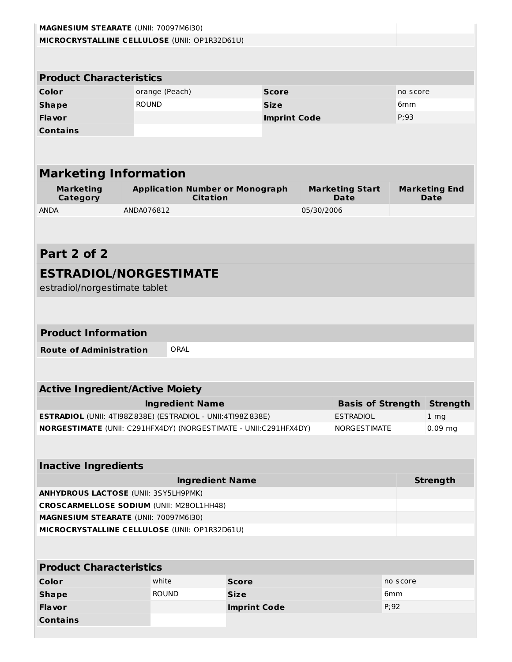|                                               | MAGNESIUM STEARATE (UNII: 70097M6I30)                            |                                                           |                                       |                                     |  |
|-----------------------------------------------|------------------------------------------------------------------|-----------------------------------------------------------|---------------------------------------|-------------------------------------|--|
|                                               | MICROCRYSTALLINE CELLULOSE (UNII: OP1R32D61U)                    |                                                           |                                       |                                     |  |
|                                               |                                                                  |                                                           |                                       |                                     |  |
|                                               |                                                                  |                                                           |                                       |                                     |  |
| <b>Product Characteristics</b>                |                                                                  |                                                           |                                       |                                     |  |
| Color                                         | orange (Peach)                                                   | <b>Score</b>                                              |                                       | no score                            |  |
| <b>Shape</b>                                  | <b>ROUND</b>                                                     | <b>Size</b>                                               |                                       | 6 <sub>mm</sub>                     |  |
| <b>Flavor</b>                                 |                                                                  | <b>Imprint Code</b>                                       |                                       | P;93                                |  |
| <b>Contains</b>                               |                                                                  |                                                           |                                       |                                     |  |
|                                               |                                                                  |                                                           |                                       |                                     |  |
|                                               |                                                                  |                                                           |                                       |                                     |  |
| <b>Marketing Information</b>                  |                                                                  |                                                           |                                       |                                     |  |
| <b>Marketing</b><br>Category                  |                                                                  | <b>Application Number or Monograph</b><br><b>Citation</b> | <b>Marketing Start</b><br><b>Date</b> | <b>Marketing End</b><br><b>Date</b> |  |
| <b>ANDA</b>                                   | ANDA076812                                                       |                                                           | 05/30/2006                            |                                     |  |
|                                               |                                                                  |                                                           |                                       |                                     |  |
|                                               |                                                                  |                                                           |                                       |                                     |  |
| Part 2 of 2                                   |                                                                  |                                                           |                                       |                                     |  |
|                                               | <b>ESTRADIOL/NORGESTIMATE</b>                                    |                                                           |                                       |                                     |  |
| estradiol/norgestimate tablet                 |                                                                  |                                                           |                                       |                                     |  |
|                                               |                                                                  |                                                           |                                       |                                     |  |
| <b>Product Information</b>                    |                                                                  |                                                           |                                       |                                     |  |
| <b>Route of Administration</b>                | ORAL                                                             |                                                           |                                       |                                     |  |
|                                               |                                                                  |                                                           |                                       |                                     |  |
|                                               |                                                                  |                                                           |                                       |                                     |  |
|                                               | <b>Active Ingredient/Active Moiety</b>                           |                                                           |                                       |                                     |  |
|                                               | <b>Ingredient Name</b>                                           |                                                           |                                       | <b>Basis of Strength Strength</b>   |  |
|                                               | ESTRADIOL (UNII: 4TI98Z838E) (ESTRADIOL - UNII:4TI98Z838E)       |                                                           | <b>ESTRADIOL</b>                      | 1 <sub>mg</sub>                     |  |
|                                               | NORGESTIMATE (UNII: C291HFX4DY) (NORGESTIMATE - UNII:C291HFX4DY) |                                                           | NORGESTIMATE                          | $0.09$ mg                           |  |
|                                               |                                                                  |                                                           |                                       |                                     |  |
| <b>Inactive Ingredients</b>                   |                                                                  |                                                           |                                       |                                     |  |
|                                               |                                                                  | <b>Ingredient Name</b>                                    |                                       | <b>Strength</b>                     |  |
|                                               | <b>ANHYDROUS LACTOSE (UNII: 3SY5LH9PMK)</b>                      |                                                           |                                       |                                     |  |
|                                               | <b>CROSCARMELLOSE SODIUM (UNII: M280L1HH48)</b>                  |                                                           |                                       |                                     |  |
| MAGNESIUM STEARATE (UNII: 70097M6I30)         |                                                                  |                                                           |                                       |                                     |  |
| MICROCRYSTALLINE CELLULOSE (UNII: OP1R32D61U) |                                                                  |                                                           |                                       |                                     |  |
|                                               |                                                                  |                                                           |                                       |                                     |  |
| <b>Product Characteristics</b>                |                                                                  |                                                           |                                       |                                     |  |
| Color                                         | white                                                            | <b>Score</b>                                              |                                       | no score                            |  |
| <b>Shape</b>                                  | <b>ROUND</b>                                                     | <b>Size</b>                                               |                                       | 6mm                                 |  |
| <b>Flavor</b>                                 |                                                                  | <b>Imprint Code</b>                                       |                                       | P;92                                |  |
| <b>Contains</b>                               |                                                                  |                                                           |                                       |                                     |  |
|                                               |                                                                  |                                                           |                                       |                                     |  |